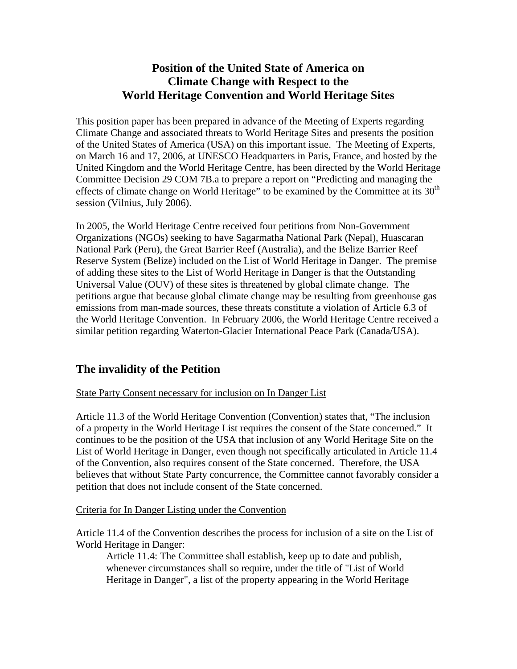## **Position of the United State of America on Climate Change with Respect to the World Heritage Convention and World Heritage Sites**

This position paper has been prepared in advance of the Meeting of Experts regarding Climate Change and associated threats to World Heritage Sites and presents the position of the United States of America (USA) on this important issue. The Meeting of Experts, on March 16 and 17, 2006, at UNESCO Headquarters in Paris, France, and hosted by the United Kingdom and the World Heritage Centre, has been directed by the World Heritage Committee Decision 29 COM 7B.a to prepare a report on "Predicting and managing the effects of climate change on World Heritage" to be examined by the Committee at its  $30<sup>th</sup>$ session (Vilnius, July 2006).

In 2005, the World Heritage Centre received four petitions from Non-Government Organizations (NGOs) seeking to have Sagarmatha National Park (Nepal), Huascaran National Park (Peru), the Great Barrier Reef (Australia), and the Belize Barrier Reef Reserve System (Belize) included on the List of World Heritage in Danger. The premise of adding these sites to the List of World Heritage in Danger is that the Outstanding Universal Value (OUV) of these sites is threatened by global climate change. The petitions argue that because global climate change may be resulting from greenhouse gas emissions from man-made sources, these threats constitute a violation of Article 6.3 of the World Heritage Convention. In February 2006, the World Heritage Centre received a similar petition regarding Waterton-Glacier International Peace Park (Canada/USA).

## **The invalidity of the Petition**

## State Party Consent necessary for inclusion on In Danger List

Article 11.3 of the World Heritage Convention (Convention) states that, "The inclusion of a property in the World Heritage List requires the consent of the State concerned." It continues to be the position of the USA that inclusion of any World Heritage Site on the List of World Heritage in Danger, even though not specifically articulated in Article 11.4 of the Convention, also requires consent of the State concerned. Therefore, the USA believes that without State Party concurrence, the Committee cannot favorably consider a petition that does not include consent of the State concerned.

#### Criteria for In Danger Listing under the Convention

Article 11.4 of the Convention describes the process for inclusion of a site on the List of World Heritage in Danger:

Article 11.4: The Committee shall establish, keep up to date and publish, whenever circumstances shall so require, under the title of "List of World" Heritage in Danger", a list of the property appearing in the World Heritage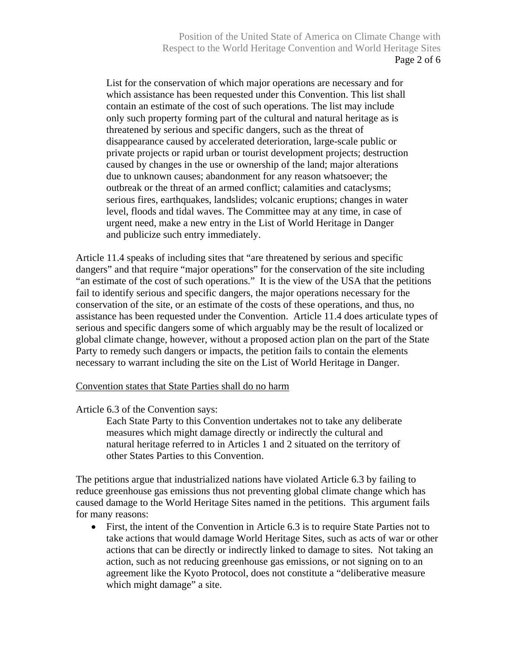List for the conservation of which major operations are necessary and for which assistance has been requested under this Convention. This list shall contain an estimate of the cost of such operations. The list may include only such property forming part of the cultural and natural heritage as is threatened by serious and specific dangers, such as the threat of disappearance caused by accelerated deterioration, large-scale public or private projects or rapid urban or tourist development projects; destruction caused by changes in the use or ownership of the land; major alterations due to unknown causes; abandonment for any reason whatsoever; the outbreak or the threat of an armed conflict; calamities and cataclysms; serious fires, earthquakes, landslides; volcanic eruptions; changes in water level, floods and tidal waves. The Committee may at any time, in case of urgent need, make a new entry in the List of World Heritage in Danger and publicize such entry immediately.

Article 11.4 speaks of including sites that "are threatened by serious and specific dangers" and that require "major operations" for the conservation of the site including "an estimate of the cost of such operations." It is the view of the USA that the petitions fail to identify serious and specific dangers, the major operations necessary for the conservation of the site, or an estimate of the costs of these operations, and thus, no assistance has been requested under the Convention. Article 11.4 does articulate types of serious and specific dangers some of which arguably may be the result of localized or global climate change, however, without a proposed action plan on the part of the State Party to remedy such dangers or impacts, the petition fails to contain the elements necessary to warrant including the site on the List of World Heritage in Danger.

#### Convention states that State Parties shall do no harm

Article 6.3 of the Convention says:

Each State Party to this Convention undertakes not to take any deliberate measures which might damage directly or indirectly the cultural and natural heritage referred to in Articles 1 and 2 situated on the territory of other States Parties to this Convention.

The petitions argue that industrialized nations have violated Article 6.3 by failing to reduce greenhouse gas emissions thus not preventing global climate change which has caused damage to the World Heritage Sites named in the petitions. This argument fails for many reasons:

• First, the intent of the Convention in Article 6.3 is to require State Parties not to take actions that would damage World Heritage Sites, such as acts of war or other actions that can be directly or indirectly linked to damage to sites. Not taking an action, such as not reducing greenhouse gas emissions, or not signing on to an agreement like the Kyoto Protocol, does not constitute a "deliberative measure which might damage" a site.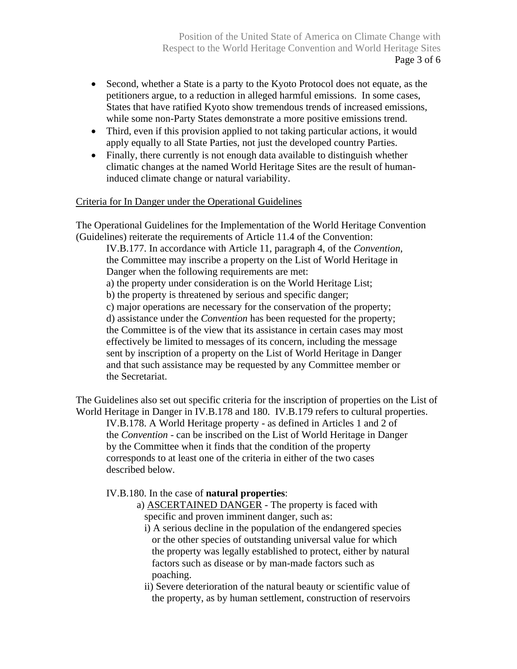- Second, whether a State is a party to the Kyoto Protocol does not equate, as the petitioners argue, to a reduction in alleged harmful emissions. In some cases, States that have ratified Kyoto show tremendous trends of increased emissions, while some non-Party States demonstrate a more positive emissions trend.
- Third, even if this provision applied to not taking particular actions, it would apply equally to all State Parties, not just the developed country Parties.
- Finally, there currently is not enough data available to distinguish whether climatic changes at the named World Heritage Sites are the result of humaninduced climate change or natural variability.

## Criteria for In Danger under the Operational Guidelines

The Operational Guidelines for the Implementation of the World Heritage Convention (Guidelines) reiterate the requirements of Article 11.4 of the Convention:

IV.B.177. In accordance with Article 11, paragraph 4, of the *Convention*, the Committee may inscribe a property on the List of World Heritage in Danger when the following requirements are met: a) the property under consideration is on the World Heritage List; b) the property is threatened by serious and specific danger; c) major operations are necessary for the conservation of the property; d) assistance under the *Convention* has been requested for the property; the Committee is of the view that its assistance in certain cases may most effectively be limited to messages of its concern, including the message sent by inscription of a property on the List of World Heritage in Danger and that such assistance may be requested by any Committee member or the Secretariat.

The Guidelines also set out specific criteria for the inscription of properties on the List of World Heritage in Danger in IV.B.178 and 180. IV.B.179 refers to cultural properties. IV.B.178. A World Heritage property - as defined in Articles 1 and 2 of the *Convention* - can be inscribed on the List of World Heritage in Danger by the Committee when it finds that the condition of the property corresponds to at least one of the criteria in either of the two cases described below.

## IV.B.180. In the case of **natural properties**:

- a) ASCERTAINED DANGER The property is faced with specific and proven imminent danger, such as:
	- i) A serious decline in the population of the endangered species or the other species of outstanding universal value for which the property was legally established to protect, either by natural factors such as disease or by man-made factors such as poaching.
	- ii) Severe deterioration of the natural beauty or scientific value of the property, as by human settlement, construction of reservoirs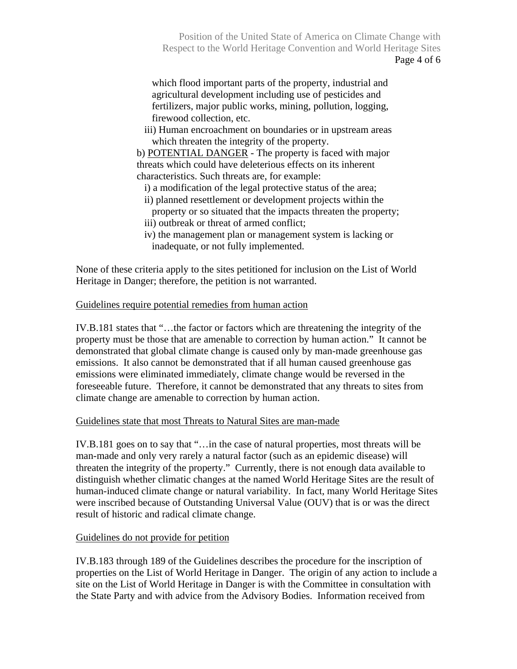Position of the United State of America on Climate Change with Respect to the World Heritage Convention and World Heritage Sites Page 4 of 6

which flood important parts of the property, industrial and agricultural development including use of pesticides and fertilizers, major public works, mining, pollution, logging, firewood collection, etc.

iii) Human encroachment on boundaries or in upstream areas which threaten the integrity of the property.

b) POTENTIAL DANGER - The property is faced with major threats which could have deleterious effects on its inherent characteristics. Such threats are, for example:

- i) a modification of the legal protective status of the area;
- ii) planned resettlement or development projects within the property or so situated that the impacts threaten the property;
- iii) outbreak or threat of armed conflict;
- iv) the management plan or management system is lacking or inadequate, or not fully implemented.

None of these criteria apply to the sites petitioned for inclusion on the List of World Heritage in Danger; therefore, the petition is not warranted.

#### Guidelines require potential remedies from human action

IV.B.181 states that "…the factor or factors which are threatening the integrity of the property must be those that are amenable to correction by human action." It cannot be demonstrated that global climate change is caused only by man-made greenhouse gas emissions. It also cannot be demonstrated that if all human caused greenhouse gas emissions were eliminated immediately, climate change would be reversed in the foreseeable future. Therefore, it cannot be demonstrated that any threats to sites from climate change are amenable to correction by human action.

#### Guidelines state that most Threats to Natural Sites are man-made

IV.B.181 goes on to say that "…in the case of natural properties, most threats will be man-made and only very rarely a natural factor (such as an epidemic disease) will threaten the integrity of the property." Currently, there is not enough data available to distinguish whether climatic changes at the named World Heritage Sites are the result of human-induced climate change or natural variability. In fact, many World Heritage Sites were inscribed because of Outstanding Universal Value (OUV) that is or was the direct result of historic and radical climate change.

#### Guidelines do not provide for petition

IV.B.183 through 189 of the Guidelines describes the procedure for the inscription of properties on the List of World Heritage in Danger. The origin of any action to include a site on the List of World Heritage in Danger is with the Committee in consultation with the State Party and with advice from the Advisory Bodies. Information received from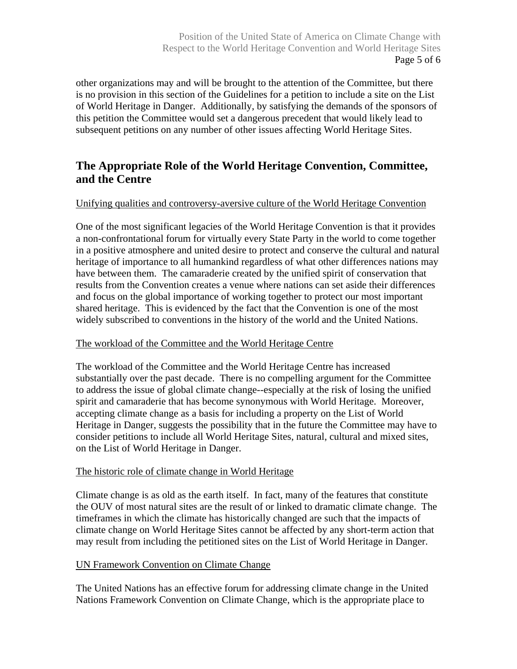other organizations may and will be brought to the attention of the Committee, but there is no provision in this section of the Guidelines for a petition to include a site on the List of World Heritage in Danger. Additionally, by satisfying the demands of the sponsors of this petition the Committee would set a dangerous precedent that would likely lead to subsequent petitions on any number of other issues affecting World Heritage Sites.

# **The Appropriate Role of the World Heritage Convention, Committee, and the Centre**

## Unifying qualities and controversy-aversive culture of the World Heritage Convention

One of the most significant legacies of the World Heritage Convention is that it provides a non-confrontational forum for virtually every State Party in the world to come together in a positive atmosphere and united desire to protect and conserve the cultural and natural heritage of importance to all humankind regardless of what other differences nations may have between them. The camaraderie created by the unified spirit of conservation that results from the Convention creates a venue where nations can set aside their differences and focus on the global importance of working together to protect our most important shared heritage. This is evidenced by the fact that the Convention is one of the most widely subscribed to conventions in the history of the world and the United Nations.

## The workload of the Committee and the World Heritage Centre

The workload of the Committee and the World Heritage Centre has increased substantially over the past decade. There is no compelling argument for the Committee to address the issue of global climate change--especially at the risk of losing the unified spirit and camaraderie that has become synonymous with World Heritage. Moreover, accepting climate change as a basis for including a property on the List of World Heritage in Danger, suggests the possibility that in the future the Committee may have to consider petitions to include all World Heritage Sites, natural, cultural and mixed sites, on the List of World Heritage in Danger.

## The historic role of climate change in World Heritage

Climate change is as old as the earth itself. In fact, many of the features that constitute the OUV of most natural sites are the result of or linked to dramatic climate change. The timeframes in which the climate has historically changed are such that the impacts of climate change on World Heritage Sites cannot be affected by any short-term action that may result from including the petitioned sites on the List of World Heritage in Danger.

#### UN Framework Convention on Climate Change

The United Nations has an effective forum for addressing climate change in the United Nations Framework Convention on Climate Change, which is the appropriate place to